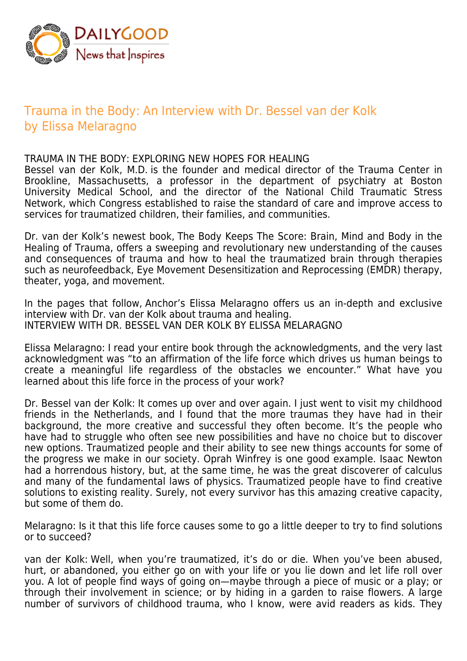

## Trauma in the Body: An Interview with Dr. Bessel van der Kolk by Elissa Melaragno

## TRAUMA IN THE BODY: EXPLORING NEW HOPES FOR HEALING

Bessel van der Kolk, M.D. is the founder and medical director of the Trauma Center in Brookline, Massachusetts, a professor in the department of psychiatry at Boston University Medical School, and the director of the National Child Traumatic Stress Network, which Congress established to raise the standard of care and improve access to services for traumatized children, their families, and communities.

Dr. van der Kolk's newest book, The Body Keeps The Score: Brain, Mind and Body in the Healing of Trauma, offers a sweeping and revolutionary new understanding of the causes and consequences of trauma and how to heal the traumatized brain through therapies such as neurofeedback, Eye Movement Desensitization and Reprocessing (EMDR) therapy, theater, yoga, and movement.

In the pages that follow, Anchor's Elissa Melaragno offers us an in-depth and exclusive interview with Dr. van der Kolk about trauma and healing. INTERVIEW WITH DR. BESSEL VAN DER KOLK BY ELISSA MELARAGNO

Elissa Melaragno: I read your entire book through the acknowledgments, and the very last acknowledgment was "to an affirmation of the life force which drives us human beings to create a meaningful life regardless of the obstacles we encounter." What have you learned about this life force in the process of your work?

Dr. Bessel van der Kolk: It comes up over and over again. I just went to visit my childhood friends in the Netherlands, and I found that the more traumas they have had in their background, the more creative and successful they often become. It's the people who have had to struggle who often see new possibilities and have no choice but to discover new options. Traumatized people and their ability to see new things accounts for some of the progress we make in our society. Oprah Winfrey is one good example. Isaac Newton had a horrendous history, but, at the same time, he was the great discoverer of calculus and many of the fundamental laws of physics. Traumatized people have to find creative solutions to existing reality. Surely, not every survivor has this amazing creative capacity, but some of them do.

Melaragno: Is it that this life force causes some to go a little deeper to try to find solutions or to succeed?

van der Kolk: Well, when you're traumatized, it's do or die. When you've been abused, hurt, or abandoned, you either go on with your life or you lie down and let life roll over you. A lot of people find ways of going on—maybe through a piece of music or a play; or through their involvement in science; or by hiding in a garden to raise flowers. A large number of survivors of childhood trauma, who I know, were avid readers as kids. They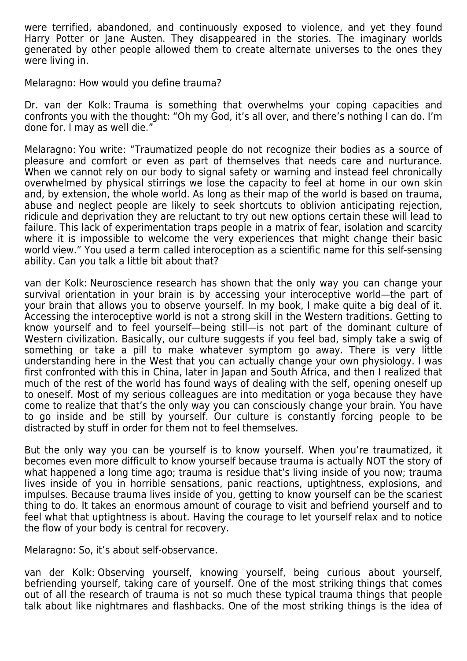were terrified, abandoned, and continuously exposed to violence, and yet they found Harry Potter or Jane Austen. They disappeared in the stories. The imaginary worlds generated by other people allowed them to create alternate universes to the ones they were living in.

Melaragno: How would you define trauma?

Dr. van der Kolk: Trauma is something that overwhelms your coping capacities and confronts you with the thought: "Oh my God, it's all over, and there's nothing I can do. I'm done for. I may as well die."

Melaragno: You write: "Traumatized people do not recognize their bodies as a source of pleasure and comfort or even as part of themselves that needs care and nurturance. When we cannot rely on our body to signal safety or warning and instead feel chronically overwhelmed by physical stirrings we lose the capacity to feel at home in our own skin and, by extension, the whole world. As long as their map of the world is based on trauma, abuse and neglect people are likely to seek shortcuts to oblivion anticipating rejection, ridicule and deprivation they are reluctant to try out new options certain these will lead to failure. This lack of experimentation traps people in a matrix of fear, isolation and scarcity where it is impossible to welcome the very experiences that might change their basic world view." You used a term called interoception as a scientific name for this self-sensing ability. Can you talk a little bit about that?

van der Kolk: Neuroscience research has shown that the only way you can change your survival orientation in your brain is by accessing your interoceptive world—the part of your brain that allows you to observe yourself. In my book, I make quite a big deal of it. Accessing the interoceptive world is not a strong skill in the Western traditions. Getting to know yourself and to feel yourself—being still—is not part of the dominant culture of Western civilization. Basically, our culture suggests if you feel bad, simply take a swig of something or take a pill to make whatever symptom go away. There is very little understanding here in the West that you can actually change your own physiology. I was first confronted with this in China, later in Japan and South Africa, and then I realized that much of the rest of the world has found ways of dealing with the self, opening oneself up to oneself. Most of my serious colleagues are into meditation or yoga because they have come to realize that that's the only way you can consciously change your brain. You have to go inside and be still by yourself. Our culture is constantly forcing people to be distracted by stuff in order for them not to feel themselves.

But the only way you can be yourself is to know yourself. When you're traumatized, it becomes even more difficult to know yourself because trauma is actually NOT the story of what happened a long time ago; trauma is residue that's living inside of you now; trauma lives inside of you in horrible sensations, panic reactions, uptightness, explosions, and impulses. Because trauma lives inside of you, getting to know yourself can be the scariest thing to do. It takes an enormous amount of courage to visit and befriend yourself and to feel what that uptightness is about. Having the courage to let yourself relax and to notice the flow of your body is central for recovery.

Melaragno: So, it's about self-observance.

van der Kolk: Observing yourself, knowing yourself, being curious about yourself, befriending yourself, taking care of yourself. One of the most striking things that comes out of all the research of trauma is not so much these typical trauma things that people talk about like nightmares and flashbacks. One of the most striking things is the idea of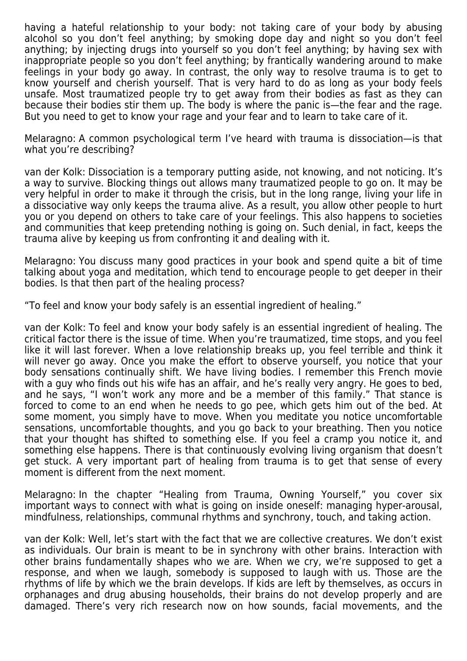having a hateful relationship to your body: not taking care of your body by abusing alcohol so you don't feel anything; by smoking dope day and night so you don't feel anything; by injecting drugs into yourself so you don't feel anything; by having sex with inappropriate people so you don't feel anything; by frantically wandering around to make feelings in your body go away. In contrast, the only way to resolve trauma is to get to know yourself and cherish yourself. That is very hard to do as long as your body feels unsafe. Most traumatized people try to get away from their bodies as fast as they can because their bodies stir them up. The body is where the panic is—the fear and the rage. But you need to get to know your rage and your fear and to learn to take care of it.

Melaragno: A common psychological term I've heard with trauma is dissociation—is that what you're describing?

van der Kolk: Dissociation is a temporary putting aside, not knowing, and not noticing. It's a way to survive. Blocking things out allows many traumatized people to go on. It may be very helpful in order to make it through the crisis, but in the long range, living your life in a dissociative way only keeps the trauma alive. As a result, you allow other people to hurt you or you depend on others to take care of your feelings. This also happens to societies and communities that keep pretending nothing is going on. Such denial, in fact, keeps the trauma alive by keeping us from confronting it and dealing with it.

Melaragno: You discuss many good practices in your book and spend quite a bit of time talking about yoga and meditation, which tend to encourage people to get deeper in their bodies. Is that then part of the healing process?

"To feel and know your body safely is an essential ingredient of healing."

van der Kolk: To feel and know your body safely is an essential ingredient of healing. The critical factor there is the issue of time. When you're traumatized, time stops, and you feel like it will last forever. When a love relationship breaks up, you feel terrible and think it will never go away. Once you make the effort to observe yourself, you notice that your body sensations continually shift. We have living bodies. I remember this French movie with a guy who finds out his wife has an affair, and he's really very angry. He goes to bed, and he says, "I won't work any more and be a member of this family." That stance is forced to come to an end when he needs to go pee, which gets him out of the bed. At some moment, you simply have to move. When you meditate you notice uncomfortable sensations, uncomfortable thoughts, and you go back to your breathing. Then you notice that your thought has shifted to something else. If you feel a cramp you notice it, and something else happens. There is that continuously evolving living organism that doesn't get stuck. A very important part of healing from trauma is to get that sense of every moment is different from the next moment.

Melaragno: In the chapter "Healing from Trauma, Owning Yourself," you cover six important ways to connect with what is going on inside oneself: managing hyper-arousal, mindfulness, relationships, communal rhythms and synchrony, touch, and taking action.

van der Kolk: Well, let's start with the fact that we are collective creatures. We don't exist as individuals. Our brain is meant to be in synchrony with other brains. Interaction with other brains fundamentally shapes who we are. When we cry, we're supposed to get a response, and when we laugh, somebody is supposed to laugh with us. Those are the rhythms of life by which we the brain develops. If kids are left by themselves, as occurs in orphanages and drug abusing households, their brains do not develop properly and are damaged. There's very rich research now on how sounds, facial movements, and the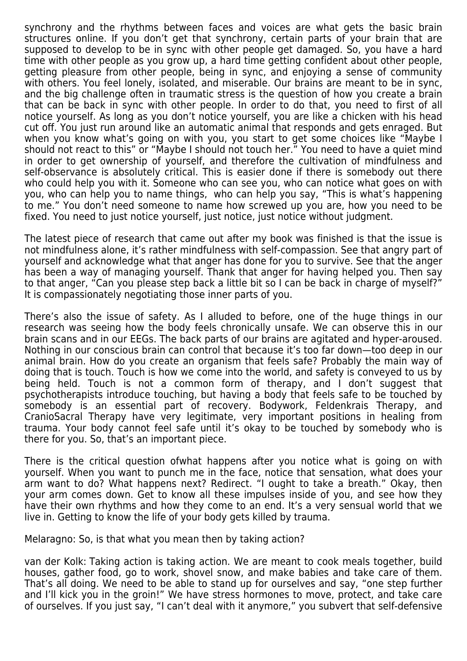synchrony and the rhythms between faces and voices are what gets the basic brain structures online. If you don't get that synchrony, certain parts of your brain that are supposed to develop to be in sync with other people get damaged. So, you have a hard time with other people as you grow up, a hard time getting confident about other people, getting pleasure from other people, being in sync, and enjoying a sense of community with others. You feel lonely, isolated, and miserable. Our brains are meant to be in sync, and the big challenge often in traumatic stress is the question of how you create a brain that can be back in sync with other people. In order to do that, you need to first of all notice yourself. As long as you don't notice yourself, you are like a chicken with his head cut off. You just run around like an automatic animal that responds and gets enraged. But when you know what's going on with you, you start to get some choices like "Maybe I should not react to this" or "Maybe I should not touch her." You need to have a quiet mind in order to get ownership of yourself, and therefore the cultivation of mindfulness and self-observance is absolutely critical. This is easier done if there is somebody out there who could help you with it. Someone who can see you, who can notice what goes on with you, who can help you to name things, who can help you say, "This is what's happening to me." You don't need someone to name how screwed up you are, how you need to be fixed. You need to just notice yourself, just notice, just notice without judgment.

The latest piece of research that came out after my book was finished is that the issue is not mindfulness alone, it's rather mindfulness with self-compassion. See that angry part of yourself and acknowledge what that anger has done for you to survive. See that the anger has been a way of managing yourself. Thank that anger for having helped you. Then say to that anger, "Can you please step back a little bit so I can be back in charge of myself?" It is compassionately negotiating those inner parts of you.

There's also the issue of safety. As I alluded to before, one of the huge things in our research was seeing how the body feels chronically unsafe. We can observe this in our brain scans and in our EEGs. The back parts of our brains are agitated and hyper-aroused. Nothing in our conscious brain can control that because it's too far down—too deep in our animal brain. How do you create an organism that feels safe? Probably the main way of doing that is touch. Touch is how we come into the world, and safety is conveyed to us by being held. Touch is not a common form of therapy, and I don't suggest that psychotherapists introduce touching, but having a body that feels safe to be touched by somebody is an essential part of recovery. Bodywork, Feldenkrais Therapy, and CranioSacral Therapy have very legitimate, very important positions in healing from trauma. Your body cannot feel safe until it's okay to be touched by somebody who is there for you. So, that's an important piece.

There is the critical question ofwhat happens after you notice what is going on with yourself. When you want to punch me in the face, notice that sensation, what does your arm want to do? What happens next? Redirect. "I ought to take a breath." Okay, then your arm comes down. Get to know all these impulses inside of you, and see how they have their own rhythms and how they come to an end. It's a very sensual world that we live in. Getting to know the life of your body gets killed by trauma.

Melaragno: So, is that what you mean then by taking action?

van der Kolk: Taking action is taking action. We are meant to cook meals together, build houses, gather food, go to work, shovel snow, and make babies and take care of them. That's all doing. We need to be able to stand up for ourselves and say, "one step further and I'll kick you in the groin!" We have stress hormones to move, protect, and take care of ourselves. If you just say, "I can't deal with it anymore," you subvert that self-defensive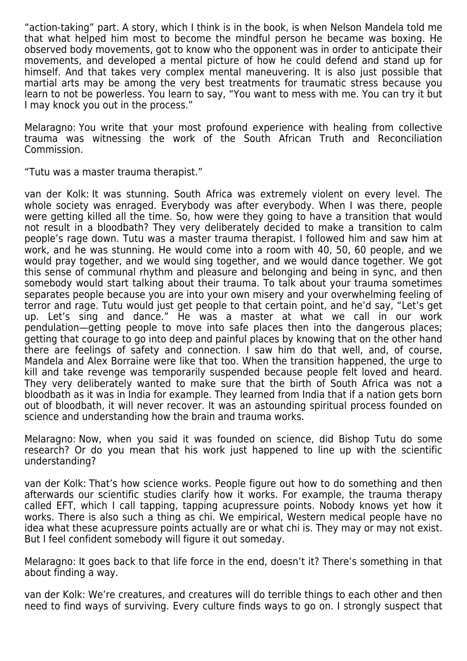"action-taking" part. A story, which I think is in the book, is when Nelson Mandela told me that what helped him most to become the mindful person he became was boxing. He observed body movements, got to know who the opponent was in order to anticipate their movements, and developed a mental picture of how he could defend and stand up for himself. And that takes very complex mental maneuvering. It is also just possible that martial arts may be among the very best treatments for traumatic stress because you learn to not be powerless. You learn to say, "You want to mess with me. You can try it but I may knock you out in the process."

Melaragno: You write that your most profound experience with healing from collective trauma was witnessing the work of the South African Truth and Reconciliation Commission.

"Tutu was a master trauma therapist."

van der Kolk: It was stunning. South Africa was extremely violent on every level. The whole society was enraged. Everybody was after everybody. When I was there, people were getting killed all the time. So, how were they going to have a transition that would not result in a bloodbath? They very deliberately decided to make a transition to calm people's rage down. Tutu was a master trauma therapist. I followed him and saw him at work, and he was stunning. He would come into a room with 40, 50, 60 people, and we would pray together, and we would sing together, and we would dance together. We got this sense of communal rhythm and pleasure and belonging and being in sync, and then somebody would start talking about their trauma. To talk about your trauma sometimes separates people because you are into your own misery and your overwhelming feeling of terror and rage. Tutu would just get people to that certain point, and he'd say, "Let's get up. Let's sing and dance." He was a master at what we call in our work pendulation—getting people to move into safe places then into the dangerous places; getting that courage to go into deep and painful places by knowing that on the other hand there are feelings of safety and connection. I saw him do that well, and, of course, Mandela and Alex Borraine were like that too. When the transition happened, the urge to kill and take revenge was temporarily suspended because people felt loved and heard. They very deliberately wanted to make sure that the birth of South Africa was not a bloodbath as it was in India for example. They learned from India that if a nation gets born out of bloodbath, it will never recover. It was an astounding spiritual process founded on science and understanding how the brain and trauma works.

Melaragno: Now, when you said it was founded on science, did Bishop Tutu do some research? Or do you mean that his work just happened to line up with the scientific understanding?

van der Kolk: That's how science works. People figure out how to do something and then afterwards our scientific studies clarify how it works. For example, the trauma therapy called EFT, which I call tapping, tapping acupressure points. Nobody knows yet how it works. There is also such a thing as chi. We empirical, Western medical people have no idea what these acupressure points actually are or what chi is. They may or may not exist. But I feel confident somebody will figure it out someday.

Melaragno: It goes back to that life force in the end, doesn't it? There's something in that about finding a way.

van der Kolk: We're creatures, and creatures will do terrible things to each other and then need to find ways of surviving. Every culture finds ways to go on. I strongly suspect that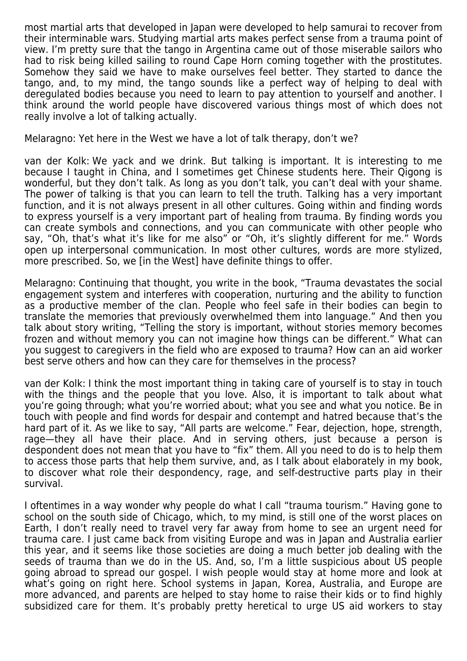most martial arts that developed in Japan were developed to help samurai to recover from their interminable wars. Studying martial arts makes perfect sense from a trauma point of view. I'm pretty sure that the tango in Argentina came out of those miserable sailors who had to risk being killed sailing to round Cape Horn coming together with the prostitutes. Somehow they said we have to make ourselves feel better. They started to dance the tango, and, to my mind, the tango sounds like a perfect way of helping to deal with deregulated bodies because you need to learn to pay attention to yourself and another. I think around the world people have discovered various things most of which does not really involve a lot of talking actually.

Melaragno: Yet here in the West we have a lot of talk therapy, don't we?

van der Kolk: We yack and we drink. But talking is important. It is interesting to me because I taught in China, and I sometimes get Chinese students here. Their Qigong is wonderful, but they don't talk. As long as you don't talk, you can't deal with your shame. The power of talking is that you can learn to tell the truth. Talking has a very important function, and it is not always present in all other cultures. Going within and finding words to express yourself is a very important part of healing from trauma. By finding words you can create symbols and connections, and you can communicate with other people who say, "Oh, that's what it's like for me also" or "Oh, it's slightly different for me." Words open up interpersonal communication. In most other cultures, words are more stylized, more prescribed. So, we [in the West] have definite things to offer.

Melaragno: Continuing that thought, you write in the book, "Trauma devastates the social engagement system and interferes with cooperation, nurturing and the ability to function as a productive member of the clan. People who feel safe in their bodies can begin to translate the memories that previously overwhelmed them into language." And then you talk about story writing, "Telling the story is important, without stories memory becomes frozen and without memory you can not imagine how things can be different." What can you suggest to caregivers in the field who are exposed to trauma? How can an aid worker best serve others and how can they care for themselves in the process?

van der Kolk: I think the most important thing in taking care of yourself is to stay in touch with the things and the people that you love. Also, it is important to talk about what you're going through; what you're worried about; what you see and what you notice. Be in touch with people and find words for despair and contempt and hatred because that's the hard part of it. As we like to say, "All parts are welcome." Fear, dejection, hope, strength, rage—they all have their place. And in serving others, just because a person is despondent does not mean that you have to "fix" them. All you need to do is to help them to access those parts that help them survive, and, as I talk about elaborately in my book, to discover what role their despondency, rage, and self-destructive parts play in their survival.

I oftentimes in a way wonder why people do what I call "trauma tourism." Having gone to school on the south side of Chicago, which, to my mind, is still one of the worst places on Earth, I don't really need to travel very far away from home to see an urgent need for trauma care. I just came back from visiting Europe and was in Japan and Australia earlier this year, and it seems like those societies are doing a much better job dealing with the seeds of trauma than we do in the US. And, so, I'm a little suspicious about US people going abroad to spread our gospel. I wish people would stay at home more and look at what's going on right here. School systems in Japan, Korea, Australia, and Europe are more advanced, and parents are helped to stay home to raise their kids or to find highly subsidized care for them. It's probably pretty heretical to urge US aid workers to stay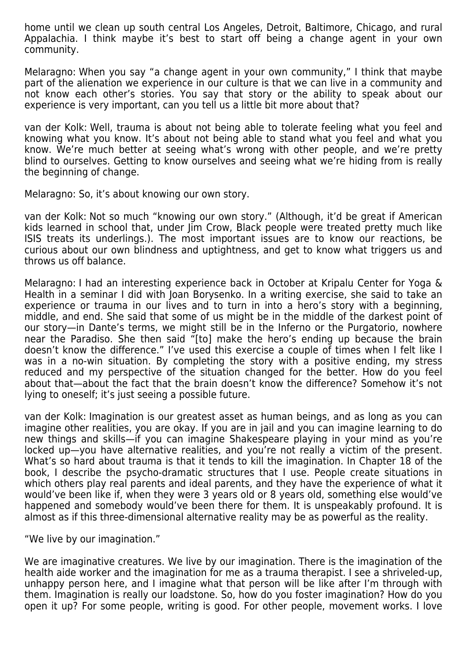home until we clean up south central Los Angeles, Detroit, Baltimore, Chicago, and rural Appalachia. I think maybe it's best to start off being a change agent in your own community.

Melaragno: When you say "a change agent in your own community," I think that maybe part of the alienation we experience in our culture is that we can live in a community and not know each other's stories. You say that story or the ability to speak about our experience is very important, can you tell us a little bit more about that?

van der Kolk: Well, trauma is about not being able to tolerate feeling what you feel and knowing what you know. It's about not being able to stand what you feel and what you know. We're much better at seeing what's wrong with other people, and we're pretty blind to ourselves. Getting to know ourselves and seeing what we're hiding from is really the beginning of change.

Melaragno: So, it's about knowing our own story.

van der Kolk: Not so much "knowing our own story." (Although, it'd be great if American kids learned in school that, under Jim Crow, Black people were treated pretty much like ISIS treats its underlings.). The most important issues are to know our reactions, be curious about our own blindness and uptightness, and get to know what triggers us and throws us off balance.

Melaragno: I had an interesting experience back in October at Kripalu Center for Yoga & Health in a seminar I did with Joan Borysenko. In a writing exercise, she said to take an experience or trauma in our lives and to turn in into a hero's story with a beginning, middle, and end. She said that some of us might be in the middle of the darkest point of our story—in Dante's terms, we might still be in the Inferno or the Purgatorio, nowhere near the Paradiso. She then said "[to] make the hero's ending up because the brain doesn't know the difference." I've used this exercise a couple of times when I felt like I was in a no-win situation. By completing the story with a positive ending, my stress reduced and my perspective of the situation changed for the better. How do you feel about that—about the fact that the brain doesn't know the difference? Somehow it's not lying to oneself; it's just seeing a possible future.

van der Kolk: Imagination is our greatest asset as human beings, and as long as you can imagine other realities, you are okay. If you are in jail and you can imagine learning to do new things and skills—if you can imagine Shakespeare playing in your mind as you're locked up—you have alternative realities, and you're not really a victim of the present. What's so hard about trauma is that it tends to kill the imagination. In Chapter 18 of the book, I describe the psycho-dramatic structures that I use. People create situations in which others play real parents and ideal parents, and they have the experience of what it would've been like if, when they were 3 years old or 8 years old, something else would've happened and somebody would've been there for them. It is unspeakably profound. It is almost as if this three-dimensional alternative reality may be as powerful as the reality.

"We live by our imagination."

We are imaginative creatures. We live by our imagination. There is the imagination of the health aide worker and the imagination for me as a trauma therapist. I see a shriveled-up, unhappy person here, and I imagine what that person will be like after I'm through with them. Imagination is really our loadstone. So, how do you foster imagination? How do you open it up? For some people, writing is good. For other people, movement works. I love